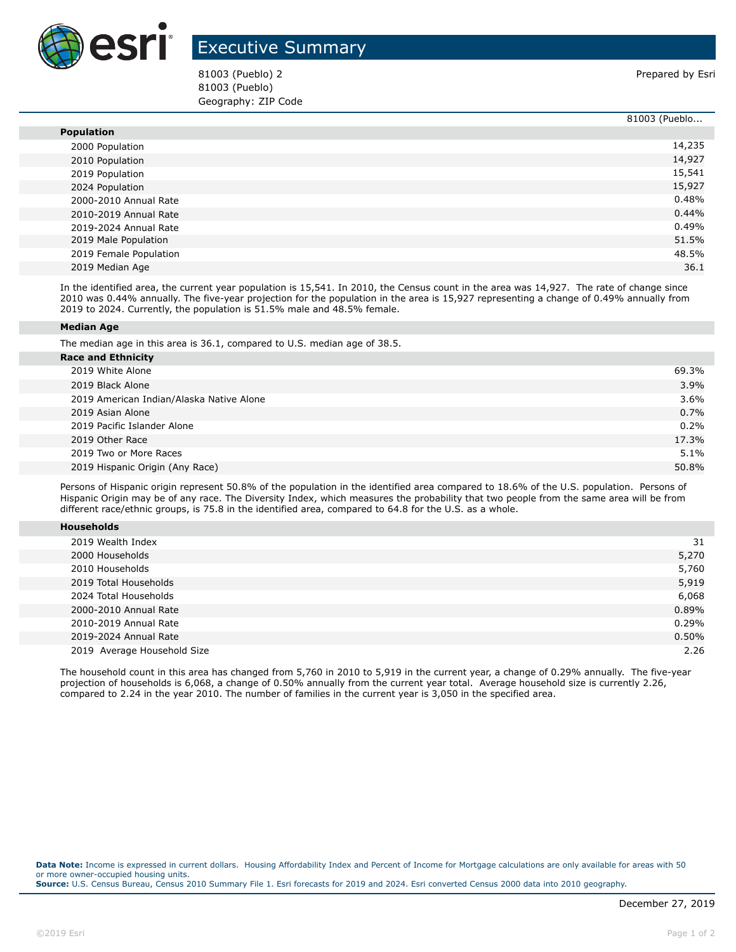

## Executive Summary

81003 (Pueblo) 2 Prepared by Esri 81003 (Pueblo) Geography: ZIP Code

|                        | 81003 (Pueblo |
|------------------------|---------------|
| <b>Population</b>      |               |
| 2000 Population        | 14,235        |
| 2010 Population        | 14,927        |
| 2019 Population        | 15,541        |
| 2024 Population        | 15,927        |
| 2000-2010 Annual Rate  | 0.48%         |
| 2010-2019 Annual Rate  | 0.44%         |
| 2019-2024 Annual Rate  | 0.49%         |
| 2019 Male Population   | 51.5%         |
| 2019 Female Population | 48.5%         |
| 2019 Median Age        | 36.1          |

In the identified area, the current year population is 15,541. In 2010, the Census count in the area was 14,927. The rate of change since 2010 was 0.44% annually. The five-year projection for the population in the area is 15,927 representing a change of 0.49% annually from 2019 to 2024. Currently, the population is 51.5% male and 48.5% female.

## **Median Age**

The median age in this area is 36.1, compared to U.S. median age of 38.5.

| <b>Race and Ethnicity</b>                |       |
|------------------------------------------|-------|
| 2019 White Alone                         | 69.3% |
| 2019 Black Alone                         | 3.9%  |
| 2019 American Indian/Alaska Native Alone | 3.6%  |
| 2019 Asian Alone                         | 0.7%  |
| 2019 Pacific Islander Alone              | 0.2%  |
| 2019 Other Race                          | 17.3% |
| 2019 Two or More Races                   | 5.1%  |
| 2019 Hispanic Origin (Any Race)          | 50.8% |
|                                          |       |

Persons of Hispanic origin represent 50.8% of the population in the identified area compared to 18.6% of the U.S. population. Persons of Hispanic Origin may be of any race. The Diversity Index, which measures the probability that two people from the same area will be from different race/ethnic groups, is 75.8 in the identified area, compared to 64.8 for the U.S. as a whole.

| <b>Households</b> |  |  |  |
|-------------------|--|--|--|
|-------------------|--|--|--|

| 2019 Wealth Index           | 31    |
|-----------------------------|-------|
| 2000 Households             | 5,270 |
| 2010 Households             | 5,760 |
| 2019 Total Households       | 5,919 |
| 2024 Total Households       | 6,068 |
| 2000-2010 Annual Rate       | 0.89% |
| 2010-2019 Annual Rate       | 0.29% |
| 2019-2024 Annual Rate       | 0.50% |
| 2019 Average Household Size | 2.26  |

The household count in this area has changed from 5,760 in 2010 to 5,919 in the current year, a change of 0.29% annually. The five-year projection of households is 6,068, a change of 0.50% annually from the current year total. Average household size is currently 2.26, compared to 2.24 in the year 2010. The number of families in the current year is 3,050 in the specified area.

**Data Note:** Income is expressed in current dollars. Housing Affordability Index and Percent of Income for Mortgage calculations are only available for areas with 50 or more owner-occupied housing units. **Source:** U.S. Census Bureau, Census 2010 Summary File 1. Esri forecasts for 2019 and 2024. Esri converted Census 2000 data into 2010 geography.